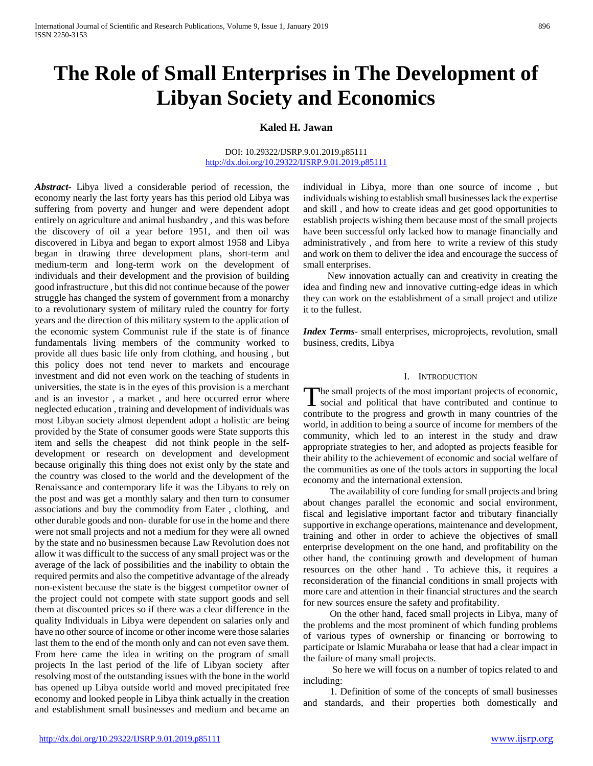# **The Role of Small Enterprises in The Development of Libyan Society and Economics**

# **Kaled H. Jawan**

#### DOI: 10.29322/IJSRP.9.01.2019.p85111 <http://dx.doi.org/10.29322/IJSRP.9.01.2019.p85111>

*Abstract***-** Libya lived a considerable period of recession, the economy nearly the last forty years has this period old Libya was suffering from poverty and hunger and were dependent adopt entirely on agriculture and animal husbandry , and this was before the discovery of oil a year before 1951, and then oil was discovered in Libya and began to export almost 1958 and Libya began in drawing three development plans, short-term and medium-term and long-term work on the development of individuals and their development and the provision of building good infrastructure , but this did not continue because of the power struggle has changed the system of government from a monarchy to a revolutionary system of military ruled the country for forty years and the direction of this military system to the application of the economic system Communist rule if the state is of finance fundamentals living members of the community worked to provide all dues basic life only from clothing, and housing , but this policy does not tend never to markets and encourage investment and did not even work on the teaching of students in universities, the state is in the eyes of this provision is a merchant and is an investor , a market , and here occurred error where neglected education , training and development of individuals was most Libyan society almost dependent adopt a holistic are being provided by the State of consumer goods were State supports this item and sells the cheapest did not think people in the selfdevelopment or research on development and development because originally this thing does not exist only by the state and the country was closed to the world and the development of the Renaissance and contemporary life it was the Libyans to rely on the post and was get a monthly salary and then turn to consumer associations and buy the commodity from Eater , clothing, and other durable goods and non- durable for use in the home and there were not small projects and not a medium for they were all owned by the state and no businessmen because Law Revolution does not allow it was difficult to the success of any small project was or the average of the lack of possibilities and the inability to obtain the required permits and also the competitive advantage of the already non-existent because the state is the biggest competitor owner of the project could not compete with state support goods and sell them at discounted prices so if there was a clear difference in the quality Individuals in Libya were dependent on salaries only and have no other source of income or other income were those salaries last them to the end of the month only and can not even save them. From here came the idea in writing on the program of small projects In the last period of the life of Libyan society after resolving most of the outstanding issues with the bone in the world has opened up Libya outside world and moved precipitated free economy and looked people in Libya think actually in the creation and establishment small businesses and medium and became an

individual in Libya, more than one source of income , but individuals wishing to establish small businesses lack the expertise and skill , and how to create ideas and get good opportunities to establish projects wishing them because most of the small projects have been successful only lacked how to manage financially and administratively , and from here to write a review of this study and work on them to deliver the idea and encourage the success of small enterprises.

 New innovation actually can and creativity in creating the idea and finding new and innovative cutting-edge ideas in which they can work on the establishment of a small project and utilize it to the fullest.

*Index Terms*- small enterprises, microprojects, revolution, small business, credits, Libya

#### I. INTRODUCTION

he small projects of the most important projects of economic, The small projects of the most important projects of economic, social and political that have contributed and continue to contribute to the progress and growth in many countries of the world, in addition to being a source of income for members of the community, which led to an interest in the study and draw appropriate strategies to her, and adopted as projects feasible for their ability to the achievement of economic and social welfare of the communities as one of the tools actors in supporting the local economy and the international extension.

 The availability of core funding for small projects and bring about changes parallel the economic and social environment, fiscal and legislative important factor and tributary financially supportive in exchange operations, maintenance and development, training and other in order to achieve the objectives of small enterprise development on the one hand, and profitability on the other hand, the continuing growth and development of human resources on the other hand . To achieve this, it requires a reconsideration of the financial conditions in small projects with more care and attention in their financial structures and the search for new sources ensure the safety and profitability.

 On the other hand, faced small projects in Libya, many of the problems and the most prominent of which funding problems of various types of ownership or financing or borrowing to participate or Islamic Murabaha or lease that had a clear impact in the failure of many small projects.

 So here we will focus on a number of topics related to and including:

 1. Definition of some of the concepts of small businesses and standards, and their properties both domestically and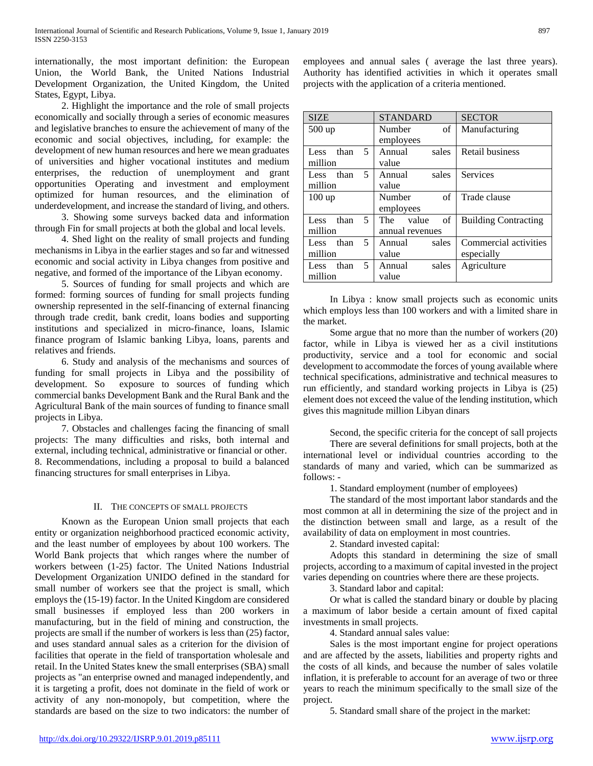internationally, the most important definition: the European Union, the World Bank, the United Nations Industrial Development Organization, the United Kingdom, the United States, Egypt, Libya.

 2. Highlight the importance and the role of small projects economically and socially through a series of economic measures and legislative branches to ensure the achievement of many of the economic and social objectives, including, for example: the development of new human resources and here we mean graduates of universities and higher vocational institutes and medium enterprises, the reduction of unemployment and grant opportunities Operating and investment and employment optimized for human resources, and the elimination of underdevelopment, and increase the standard of living, and others.

 3. Showing some surveys backed data and information through Fin for small projects at both the global and local levels.

 4. Shed light on the reality of small projects and funding mechanisms in Libya in the earlier stages and so far and witnessed economic and social activity in Libya changes from positive and negative, and formed of the importance of the Libyan economy.

 5. Sources of funding for small projects and which are formed: forming sources of funding for small projects funding ownership represented in the self-financing of external financing through trade credit, bank credit, loans bodies and supporting institutions and specialized in micro-finance, loans, Islamic finance program of Islamic banking Libya, loans, parents and relatives and friends.

 6. Study and analysis of the mechanisms and sources of funding for small projects in Libya and the possibility of development. So exposure to sources of funding which commercial banks Development Bank and the Rural Bank and the Agricultural Bank of the main sources of funding to finance small projects in Libya.

 7. Obstacles and challenges facing the financing of small projects: The many difficulties and risks, both internal and external, including technical, administrative or financial or other. 8. Recommendations, including a proposal to build a balanced financing structures for small enterprises in Libya.

#### II. THE CONCEPTS OF SMALL PROJECTS

 Known as the European Union small projects that each entity or organization neighborhood practiced economic activity, and the least number of employees by about 100 workers. The World Bank projects that which ranges where the number of workers between (1-25) factor. The United Nations Industrial Development Organization UNIDO defined in the standard for small number of workers see that the project is small, which employs the (15-19) factor. In the United Kingdom are considered small businesses if employed less than 200 workers in manufacturing, but in the field of mining and construction, the projects are small if the number of workers is less than (25) factor, and uses standard annual sales as a criterion for the division of facilities that operate in the field of transportation wholesale and retail. In the United States knew the small enterprises (SBA) small projects as "an enterprise owned and managed independently, and it is targeting a profit, does not dominate in the field of work or activity of any non-monopoly, but competition, where the standards are based on the size to two indicators: the number of employees and annual sales ( average the last three years). Authority has identified activities in which it operates small projects with the application of a criteria mentioned.

| <b>SIZE</b>              | <b>STANDARD</b>         | <b>SECTOR</b>               |
|--------------------------|-------------------------|-----------------------------|
| 500 up                   | Number<br>of            | Manufacturing               |
|                          | employees               |                             |
| 5.<br>than<br>Less.      | Annual<br>sales         | Retail business             |
| million                  | value                   |                             |
| 5<br>than<br>Less        | Annual<br>sales         | Services                    |
| million                  | value                   |                             |
| $100 \text{ up}$         | $\sigma$ f<br>Number    | Trade clause                |
|                          | employees               |                             |
| 5.<br>than<br>Less       | $\sigma$ f<br>The value | <b>Building Contracting</b> |
| million                  | annual revenues         |                             |
| 5<br>than<br><b>Less</b> | Annual<br>sales         | Commercial activities       |
| million                  | value                   | especially                  |
| 5<br>than<br>Less.       | Annual<br>sales         | Agriculture                 |
| million                  | value                   |                             |

 In Libya : know small projects such as economic units which employs less than 100 workers and with a limited share in the market.

 Some argue that no more than the number of workers (20) factor, while in Libya is viewed her as a civil institutions productivity, service and a tool for economic and social development to accommodate the forces of young available where technical specifications, administrative and technical measures to run efficiently, and standard working projects in Libya is (25) element does not exceed the value of the lending institution, which gives this magnitude million Libyan dinars

 Second, the specific criteria for the concept of sall projects There are several definitions for small projects, both at the international level or individual countries according to the standards of many and varied, which can be summarized as follows: -

1. Standard employment (number of employees)

 The standard of the most important labor standards and the most common at all in determining the size of the project and in the distinction between small and large, as a result of the availability of data on employment in most countries.

2. Standard invested capital:

 Adopts this standard in determining the size of small projects, according to a maximum of capital invested in the project varies depending on countries where there are these projects.

3. Standard labor and capital:

 Or what is called the standard binary or double by placing a maximum of labor beside a certain amount of fixed capital investments in small projects.

4. Standard annual sales value:

 Sales is the most important engine for project operations and are affected by the assets, liabilities and property rights and the costs of all kinds, and because the number of sales volatile inflation, it is preferable to account for an average of two or three years to reach the minimum specifically to the small size of the project.

5. Standard small share of the project in the market: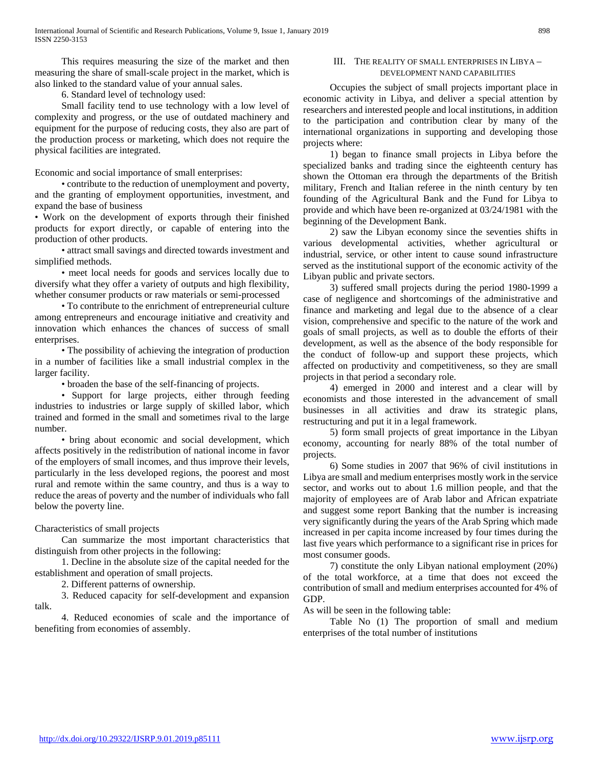This requires measuring the size of the market and then measuring the share of small-scale project in the market, which is also linked to the standard value of your annual sales.

6. Standard level of technology used:

 Small facility tend to use technology with a low level of complexity and progress, or the use of outdated machinery and equipment for the purpose of reducing costs, they also are part of the production process or marketing, which does not require the physical facilities are integrated.

Economic and social importance of small enterprises:

 • contribute to the reduction of unemployment and poverty, and the granting of employment opportunities, investment, and expand the base of business

• Work on the development of exports through their finished products for export directly, or capable of entering into the production of other products.

 • attract small savings and directed towards investment and simplified methods.

 • meet local needs for goods and services locally due to diversify what they offer a variety of outputs and high flexibility, whether consumer products or raw materials or semi-processed

 • To contribute to the enrichment of entrepreneurial culture among entrepreneurs and encourage initiative and creativity and innovation which enhances the chances of success of small enterprises.

 • The possibility of achieving the integration of production in a number of facilities like a small industrial complex in the larger facility.

• broaden the base of the self-financing of projects.

 • Support for large projects, either through feeding industries to industries or large supply of skilled labor, which trained and formed in the small and sometimes rival to the large number.

 • bring about economic and social development, which affects positively in the redistribution of national income in favor of the employers of small incomes, and thus improve their levels, particularly in the less developed regions, the poorest and most rural and remote within the same country, and thus is a way to reduce the areas of poverty and the number of individuals who fall below the poverty line.

Characteristics of small projects

 Can summarize the most important characteristics that distinguish from other projects in the following:

 1. Decline in the absolute size of the capital needed for the establishment and operation of small projects.

2. Different patterns of ownership.

 3. Reduced capacity for self-development and expansion talk.

 4. Reduced economies of scale and the importance of benefiting from economies of assembly.

#### III. THE REALITY OF SMALL ENTERPRISES IN LIBYA – DEVELOPMENT NAND CAPABILITIES

 Occupies the subject of small projects important place in economic activity in Libya, and deliver a special attention by researchers and interested people and local institutions, in addition to the participation and contribution clear by many of the international organizations in supporting and developing those projects where:

 1) began to finance small projects in Libya before the specialized banks and trading since the eighteenth century has shown the Ottoman era through the departments of the British military, French and Italian referee in the ninth century by ten founding of the Agricultural Bank and the Fund for Libya to provide and which have been re-organized at 03/24/1981 with the beginning of the Development Bank.

 2) saw the Libyan economy since the seventies shifts in various developmental activities, whether agricultural or industrial, service, or other intent to cause sound infrastructure served as the institutional support of the economic activity of the Libyan public and private sectors.

 3) suffered small projects during the period 1980-1999 a case of negligence and shortcomings of the administrative and finance and marketing and legal due to the absence of a clear vision, comprehensive and specific to the nature of the work and goals of small projects, as well as to double the efforts of their development, as well as the absence of the body responsible for the conduct of follow-up and support these projects, which affected on productivity and competitiveness, so they are small projects in that period a secondary role.

 4) emerged in 2000 and interest and a clear will by economists and those interested in the advancement of small businesses in all activities and draw its strategic plans, restructuring and put it in a legal framework.

 5) form small projects of great importance in the Libyan economy, accounting for nearly 88% of the total number of projects.

 6) Some studies in 2007 that 96% of civil institutions in Libya are small and medium enterprises mostly work in the service sector, and works out to about 1.6 million people, and that the majority of employees are of Arab labor and African expatriate and suggest some report Banking that the number is increasing very significantly during the years of the Arab Spring which made increased in per capita income increased by four times during the last five years which performance to a significant rise in prices for most consumer goods.

 7) constitute the only Libyan national employment (20%) of the total workforce, at a time that does not exceed the contribution of small and medium enterprises accounted for 4% of GDP.

As will be seen in the following table:

 Table No (1) The proportion of small and medium enterprises of the total number of institutions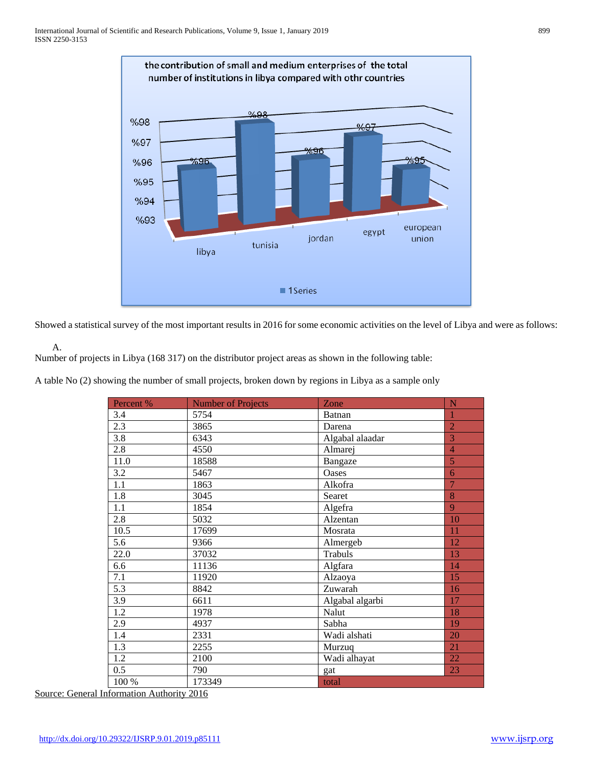

Showed a statistical survey of the most important results in 2016 for some economic activities on the level of Libya and were as follows:

A.

Number of projects in Libya (168 317) on the distributor project areas as shown in the following table:

A table No (2) showing the number of small projects, broken down by regions in Libya as a sample only

| Percent %        | <b>Number of Projects</b> | Zone            | N              |
|------------------|---------------------------|-----------------|----------------|
| 3.4              | 5754                      | Batnan          | $\mathbf{1}$   |
| 2.3              | 3865                      | Darena          | $\overline{2}$ |
| 3.8              | 6343                      | Algabal alaadar | 3              |
| 2.8              | 4550                      | Almarej         | $\overline{4}$ |
| 11.0             | 18588                     | Bangaze         | 5              |
| 3.2              | 5467                      | Oases           | 6              |
| 1.1              | 1863                      | Alkofra         | $\overline{7}$ |
| 1.8              | 3045                      | Searet          | 8              |
| 1.1              | 1854                      | Algefra         | 9              |
| 2.8              | 5032                      | Alzentan        | 10             |
| 10.5             | 17699                     | Mosrata         | 11             |
| 5.6              | 9366                      | Almergeb        | 12             |
| 22.0             | 37032                     | Trabuls         | 13             |
| 6.6              | 11136                     | Algfara         | 14             |
| 7.1              | 11920                     | Alzaoya         | 15             |
| 5.3              | 8842                      | Zuwarah         | 16             |
| 3.9              | 6611                      | Algabal algarbi | 17             |
| 1.2              | 1978                      | Nalut           | 18             |
| 2.9              | 4937                      | Sabha           | 19             |
| 1.4              | 2331                      | Wadi alshati    | 20             |
| $\overline{1.3}$ | 2255                      | Murzuq          | 21             |
| 1.2              | 2100                      | Wadi alhayat    | 22             |
| 0.5              | 790                       | gat             | 23             |
| 100 %            | 173349                    | total           |                |

Source: General Information Authority 2016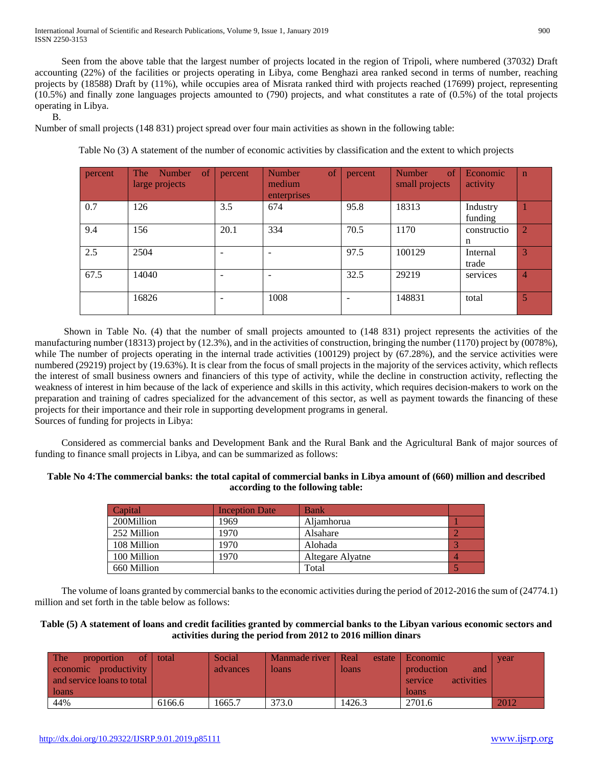Seen from the above table that the largest number of projects located in the region of Tripoli, where numbered (37032) Draft accounting (22%) of the facilities or projects operating in Libya, come Benghazi area ranked second in terms of number, reaching projects by (18588) Draft by (11%), while occupies area of Misrata ranked third with projects reached (17699) project, representing (10.5%) and finally zone languages projects amounted to (790) projects, and what constitutes a rate of (0.5%) of the total projects operating in Libya.

B.

Number of small projects (148 831) project spread over four main activities as shown in the following table:

Table No (3) A statement of the number of economic activities by classification and the extent to which projects

| percent | of<br>The<br>Number<br>large projects | percent | of<br><b>Number</b><br>medium<br>enterprises | percent | of<br>Number<br>small projects | Economic<br>activity | $\mathbf n$    |
|---------|---------------------------------------|---------|----------------------------------------------|---------|--------------------------------|----------------------|----------------|
| 0.7     | 126                                   | 3.5     | 674                                          | 95.8    | 18313                          | Industry<br>funding  |                |
| 9.4     | 156                                   | 20.1    | 334                                          | 70.5    | 1170                           | constructio<br>n     | 2              |
| 2.5     | 2504                                  |         |                                              | 97.5    | 100129                         | Internal<br>trade    | 3              |
| 67.5    | 14040                                 |         |                                              | 32.5    | 29219                          | services             | $\overline{4}$ |
|         | 16826                                 |         | 1008                                         |         | 148831                         | total                | 5              |

 Shown in Table No. (4) that the number of small projects amounted to (148 831) project represents the activities of the manufacturing number (18313) project by (12.3%), and in the activities of construction, bringing the number (1170) project by (0078%), while The number of projects operating in the internal trade activities (100129) project by (67.28%), and the service activities were numbered (29219) project by (19.63%). It is clear from the focus of small projects in the majority of the services activity, which reflects the interest of small business owners and financiers of this type of activity, while the decline in construction activity, reflecting the weakness of interest in him because of the lack of experience and skills in this activity, which requires decision-makers to work on the preparation and training of cadres specialized for the advancement of this sector, as well as payment towards the financing of these projects for their importance and their role in supporting development programs in general. Sources of funding for projects in Libya:

 Considered as commercial banks and Development Bank and the Rural Bank and the Agricultural Bank of major sources of funding to finance small projects in Libya, and can be summarized as follows:

# **Table No 4:The commercial banks: the total capital of commercial banks in Libya amount of (660) million and described according to the following table:**

| Capital     | <b>Inception Date</b> | <b>Bank</b>      |  |
|-------------|-----------------------|------------------|--|
| 200Million  | 1969                  | Aliamhorua       |  |
| 252 Million | 1970                  | Alsahare         |  |
| 108 Million | 1970                  | Alohada          |  |
| 100 Million | 1970                  | Altegare Alyatne |  |
| 660 Million |                       | Total            |  |

 The volume of loans granted by commercial banks to the economic activities during the period of 2012-2016 the sum of (24774.1) million and set forth in the table below as follows:

# **Table (5) A statement of loans and credit facilities granted by commercial banks to the Libyan various economic sectors and activities during the period from 2012 to 2016 million dinars**

| The<br>of<br>proportion<br>productivity<br>economic<br>and service loans to total<br>loans | total  | Social<br>advances | Manmade river   Real<br>loans | loans  | estate   Economic<br>production<br>and<br>activities<br>service<br>loans | vear |
|--------------------------------------------------------------------------------------------|--------|--------------------|-------------------------------|--------|--------------------------------------------------------------------------|------|
| 44%                                                                                        | 6166.6 | 1665.7             | 373.0                         | 1426.3 | 2701.6                                                                   | 2012 |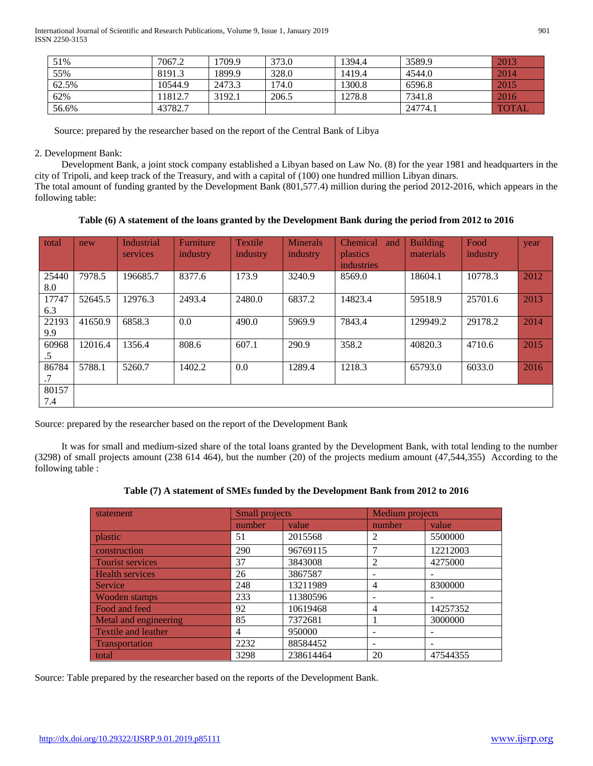| 51%   | 7067.2  | 1709.9 | 373.0 | 1394.4 | 3589.9  | 2013         |
|-------|---------|--------|-------|--------|---------|--------------|
| 55%   | 8191.3  | 1899.9 | 328.0 | 1419.4 | 4544.0  | 2014         |
| 62.5% | 10544.9 | 2473.3 | 174.0 | 1300.8 | 6596.8  | 2015         |
| 62%   | 11812.7 | 3192.1 | 206.5 | 1278.8 | 7341.8  | 2016         |
| 56.6% | 43782.7 |        |       |        | 24774.1 | <b>TOTAL</b> |

Source: prepared by the researcher based on the report of the Central Bank of Libya

# 2. Development Bank:

 Development Bank, a joint stock company established a Libyan based on Law No. (8) for the year 1981 and headquarters in the city of Tripoli, and keep track of the Treasury, and with a capital of (100) one hundred million Libyan dinars. The total amount of funding granted by the Development Bank (801,577.4) million during the period 2012-2016, which appears in the following table:

**Table (6) A statement of the loans granted by the Development Bank during the period from 2012 to 2016**

| total        | new     | Industrial<br>services | Furniture<br>industry | <b>Textile</b><br>industry | <b>Minerals</b><br>industry | <b>Chemical</b><br>and<br><i>plastics</i><br>industries | <b>Building</b><br>materials | Food<br>industry | year |
|--------------|---------|------------------------|-----------------------|----------------------------|-----------------------------|---------------------------------------------------------|------------------------------|------------------|------|
| 25440<br>8.0 | 7978.5  | 196685.7               | 8377.6                | 173.9                      | 3240.9                      | 8569.0                                                  | 18604.1                      | 10778.3          | 2012 |
| 17747<br>6.3 | 52645.5 | 12976.3                | 2493.4                | 2480.0                     | 6837.2                      | 14823.4                                                 | 59518.9                      | 25701.6          | 2013 |
| 22193<br>9.9 | 41650.9 | 6858.3                 | 0.0                   | 490.0                      | 5969.9                      | 7843.4                                                  | 129949.2                     | 29178.2          | 2014 |
| 60968<br>.5  | 12016.4 | 1356.4                 | 808.6                 | 607.1                      | 290.9                       | 358.2                                                   | 40820.3                      | 4710.6           | 2015 |
| 86784        | 5788.1  | 5260.7                 | 1402.2                | 0.0                        | 1289.4                      | 1218.3                                                  | 65793.0                      | 6033.0           | 2016 |
| 80157<br>7.4 |         |                        |                       |                            |                             |                                                         |                              |                  |      |

Source: prepared by the researcher based on the report of the Development Bank

 It was for small and medium-sized share of the total loans granted by the Development Bank, with total lending to the number (3298) of small projects amount (238 614 464), but the number (20) of the projects medium amount (47,544,355) According to the following table :

|  |  |  | Table (7) A statement of SMEs funded by the Development Bank from 2012 to 2016 |
|--|--|--|--------------------------------------------------------------------------------|
|--|--|--|--------------------------------------------------------------------------------|

| statement                  | <b>Small projects</b> |           | Medium projects |          |
|----------------------------|-----------------------|-----------|-----------------|----------|
|                            | number                | value     | number          | value    |
| plastic                    | 51                    | 2015568   | 2               | 5500000  |
| construction               | 290                   | 96769115  |                 | 12212003 |
| <b>Tourist services</b>    | 37                    | 3843008   | $\overline{2}$  | 4275000  |
| <b>Health services</b>     | 26                    | 3867587   |                 |          |
| Service                    | 248                   | 13211989  | 4               | 8300000  |
| Wooden stamps              | 233                   | 11380596  |                 |          |
| Food and feed              | 92                    | 10619468  | $\overline{4}$  | 14257352 |
| Metal and engineering      | 85                    | 7372681   |                 | 3000000  |
| <b>Textile and leather</b> | $\overline{4}$        | 950000    |                 |          |
| Transportation             | 2232                  | 88584452  |                 |          |
| total                      | 3298                  | 238614464 | 20              | 47544355 |

Source: Table prepared by the researcher based on the reports of the Development Bank.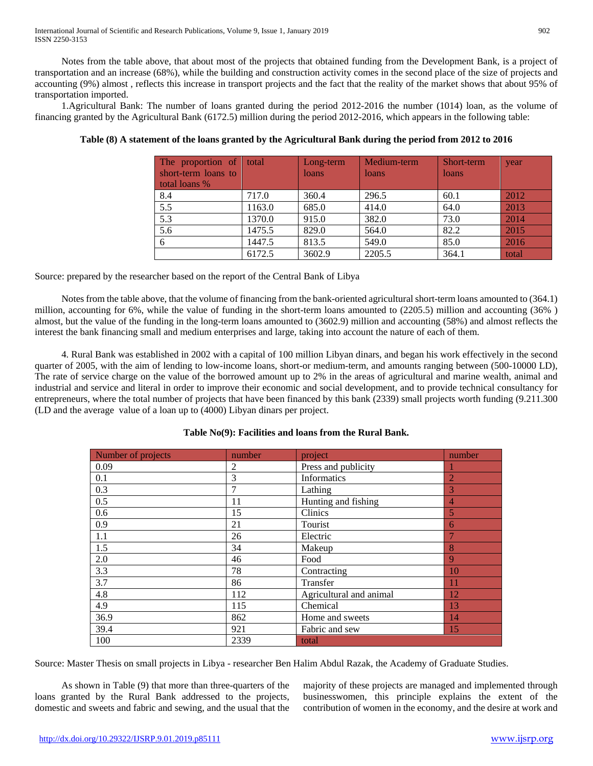International Journal of Scientific and Research Publications, Volume 9, Issue 1, January 2019 902 ISSN 2250-3153

 Notes from the table above, that about most of the projects that obtained funding from the Development Bank, is a project of transportation and an increase (68%), while the building and construction activity comes in the second place of the size of projects and accounting (9%) almost , reflects this increase in transport projects and the fact that the reality of the market shows that about 95% of transportation imported.

 1.Agricultural Bank: The number of loans granted during the period 2012-2016 the number (1014) loan, as the volume of financing granted by the Agricultural Bank (6172.5) million during the period 2012-2016, which appears in the following table:

| The proportion of $\vert$<br>short-term loans to<br>total loans % | total  | Long-term<br>loans | Medium-term<br>loans | Short-term<br>loans | year  |
|-------------------------------------------------------------------|--------|--------------------|----------------------|---------------------|-------|
| 8.4                                                               | 717.0  | 360.4              | 296.5                | 60.1                | 2012  |
| 5.5                                                               | 1163.0 | 685.0              | 414.0                | 64.0                | 2013  |
| 5.3                                                               | 1370.0 | 915.0              | 382.0                | 73.0                | 2014  |
| 5.6                                                               | 1475.5 | 829.0              | 564.0                | 82.2                | 2015  |
| 6                                                                 | 1447.5 | 813.5              | 549.0                | 85.0                | 2016  |
|                                                                   | 6172.5 | 3602.9             | 2205.5               | 364.1               | total |

#### **Table (8) A statement of the loans granted by the Agricultural Bank during the period from 2012 to 2016**

Source: prepared by the researcher based on the report of the Central Bank of Libya

 Notes from the table above, that the volume of financing from the bank-oriented agricultural short-term loans amounted to (364.1) million, accounting for 6%, while the value of funding in the short-term loans amounted to (2205.5) million and accounting (36% ) almost, but the value of the funding in the long-term loans amounted to (3602.9) million and accounting (58%) and almost reflects the interest the bank financing small and medium enterprises and large, taking into account the nature of each of them.

 4. Rural Bank was established in 2002 with a capital of 100 million Libyan dinars, and began his work effectively in the second quarter of 2005, with the aim of lending to low-income loans, short-or medium-term, and amounts ranging between (500-10000 LD), The rate of service charge on the value of the borrowed amount up to 2% in the areas of agricultural and marine wealth, animal and industrial and service and literal in order to improve their economic and social development, and to provide technical consultancy for entrepreneurs, where the total number of projects that have been financed by this bank (2339) small projects worth funding (9.211.300 (LD and the average value of a loan up to (4000) Libyan dinars per project.

| Number of projects | number | project                 | number         |
|--------------------|--------|-------------------------|----------------|
| 0.09               | 2      | Press and publicity     |                |
| 0.1                | 3      | Informatics             | $\overline{2}$ |
| 0.3                | 7      | Lathing                 | 3              |
| 0.5                | 11     | Hunting and fishing     | $\overline{4}$ |
| 0.6                | 15     | Clinics                 | $\overline{5}$ |
| 0.9                | 21     | Tourist                 | 6              |
| 1.1                | 26     | Electric                |                |
| 1.5                | 34     | Makeup                  | 8              |
| 2.0                | 46     | Food                    | 9              |
| 3.3                | 78     | Contracting             | 10             |
| 3.7                | 86     | Transfer                | 11             |
| 4.8                | 112    | Agricultural and animal | 12             |
| 4.9                | 115    | Chemical                | 13             |
| 36.9               | 862    | Home and sweets         | 14             |
| 39.4               | 921    | Fabric and sew          | 15             |
| 100                | 2339   | total                   |                |

# **Table No(9): Facilities and loans from the Rural Bank.**

Source: Master Thesis on small projects in Libya - researcher Ben Halim Abdul Razak, the Academy of Graduate Studies.

 As shown in Table (9) that more than three-quarters of the loans granted by the Rural Bank addressed to the projects, domestic and sweets and fabric and sewing, and the usual that the majority of these projects are managed and implemented through businesswomen, this principle explains the extent of the contribution of women in the economy, and the desire at work and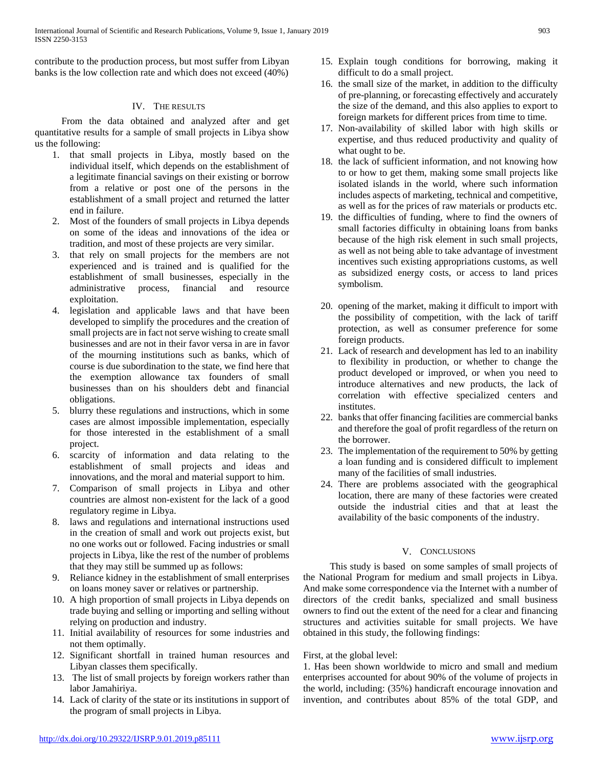International Journal of Scientific and Research Publications, Volume 9, Issue 1, January 2019 903 ISSN 2250-3153

contribute to the production process, but most suffer from Libyan banks is the low collection rate and which does not exceed (40%)

#### IV. THE RESULTS

 From the data obtained and analyzed after and get quantitative results for a sample of small projects in Libya show us the following:

- 1. that small projects in Libya, mostly based on the individual itself, which depends on the establishment of a legitimate financial savings on their existing or borrow from a relative or post one of the persons in the establishment of a small project and returned the latter end in failure.
- 2. Most of the founders of small projects in Libya depends on some of the ideas and innovations of the idea or tradition, and most of these projects are very similar.
- 3. that rely on small projects for the members are not experienced and is trained and is qualified for the establishment of small businesses, especially in the administrative process, financial and resource exploitation.
- 4. legislation and applicable laws and that have been developed to simplify the procedures and the creation of small projects are in fact not serve wishing to create small businesses and are not in their favor versa in are in favor of the mourning institutions such as banks, which of course is due subordination to the state, we find here that the exemption allowance tax founders of small businesses than on his shoulders debt and financial obligations.
- 5. blurry these regulations and instructions, which in some cases are almost impossible implementation, especially for those interested in the establishment of a small project.
- 6. scarcity of information and data relating to the establishment of small projects and ideas and innovations, and the moral and material support to him.
- 7. Comparison of small projects in Libya and other countries are almost non-existent for the lack of a good regulatory regime in Libya.
- 8. laws and regulations and international instructions used in the creation of small and work out projects exist, but no one works out or followed. Facing industries or small projects in Libya, like the rest of the number of problems that they may still be summed up as follows:
- 9. Reliance kidney in the establishment of small enterprises on loans money saver or relatives or partnership.
- 10. A high proportion of small projects in Libya depends on trade buying and selling or importing and selling without relying on production and industry.
- 11. Initial availability of resources for some industries and not them optimally.
- 12. Significant shortfall in trained human resources and Libyan classes them specifically.
- 13. The list of small projects by foreign workers rather than labor Jamahiriya.
- 14. Lack of clarity of the state or its institutions in support of the program of small projects in Libya.
- 15. Explain tough conditions for borrowing, making it difficult to do a small project.
- 16. the small size of the market, in addition to the difficulty of pre-planning, or forecasting effectively and accurately the size of the demand, and this also applies to export to foreign markets for different prices from time to time.
- 17. Non-availability of skilled labor with high skills or expertise, and thus reduced productivity and quality of what ought to be.
- 18. the lack of sufficient information, and not knowing how to or how to get them, making some small projects like isolated islands in the world, where such information includes aspects of marketing, technical and competitive, as well as for the prices of raw materials or products etc.
- 19. the difficulties of funding, where to find the owners of small factories difficulty in obtaining loans from banks because of the high risk element in such small projects, as well as not being able to take advantage of investment incentives such existing appropriations customs, as well as subsidized energy costs, or access to land prices symbolism.
- 20. opening of the market, making it difficult to import with the possibility of competition, with the lack of tariff protection, as well as consumer preference for some foreign products.
- 21. Lack of research and development has led to an inability to flexibility in production, or whether to change the product developed or improved, or when you need to introduce alternatives and new products, the lack of correlation with effective specialized centers and institutes.
- 22. banks that offer financing facilities are commercial banks and therefore the goal of profit regardless of the return on the borrower.
- 23. The implementation of the requirement to 50% by getting a loan funding and is considered difficult to implement many of the facilities of small industries.
- 24. There are problems associated with the geographical location, there are many of these factories were created outside the industrial cities and that at least the availability of the basic components of the industry.

# V. CONCLUSIONS

 This study is based on some samples of small projects of the National Program for medium and small projects in Libya. And make some correspondence via the Internet with a number of directors of the credit banks, specialized and small business owners to find out the extent of the need for a clear and financing structures and activities suitable for small projects. We have obtained in this study, the following findings:

#### First, at the global level:

1. Has been shown worldwide to micro and small and medium enterprises accounted for about 90% of the volume of projects in the world, including: (35%) handicraft encourage innovation and invention, and contributes about 85% of the total GDP, and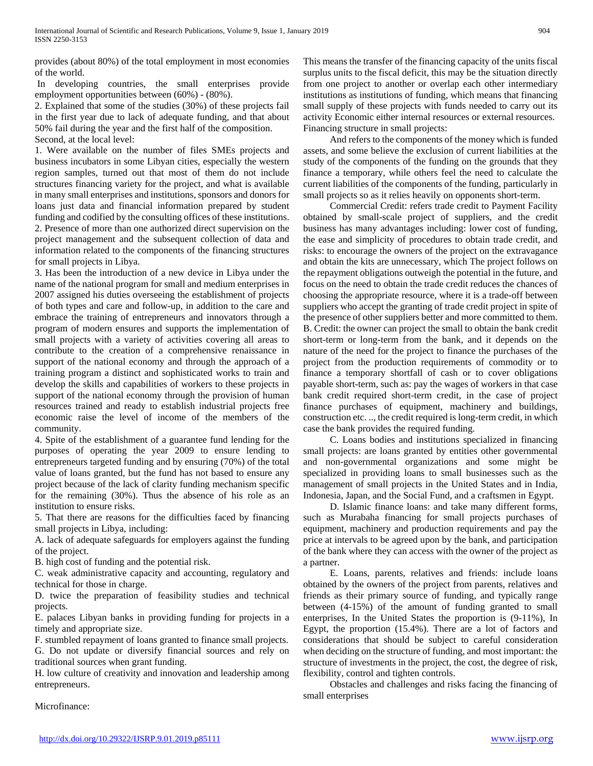provides (about 80%) of the total employment in most economies of the world.

In developing countries, the small enterprises provide employment opportunities between (60%) - (80%).

2. Explained that some of the studies (30%) of these projects fail in the first year due to lack of adequate funding, and that about 50% fail during the year and the first half of the composition. Second, at the local level:

1. Were available on the number of files SMEs projects and business incubators in some Libyan cities, especially the western region samples, turned out that most of them do not include structures financing variety for the project, and what is available in many small enterprises and institutions, sponsors and donors for loans just data and financial information prepared by student funding and codified by the consulting offices of these institutions. 2. Presence of more than one authorized direct supervision on the project management and the subsequent collection of data and information related to the components of the financing structures for small projects in Libya.

3. Has been the introduction of a new device in Libya under the name of the national program for small and medium enterprises in 2007 assigned his duties overseeing the establishment of projects of both types and care and follow-up, in addition to the care and embrace the training of entrepreneurs and innovators through a program of modern ensures and supports the implementation of small projects with a variety of activities covering all areas to contribute to the creation of a comprehensive renaissance in support of the national economy and through the approach of a training program a distinct and sophisticated works to train and develop the skills and capabilities of workers to these projects in support of the national economy through the provision of human resources trained and ready to establish industrial projects free economic raise the level of income of the members of the community.

4. Spite of the establishment of a guarantee fund lending for the purposes of operating the year 2009 to ensure lending to entrepreneurs targeted funding and by ensuring (70%) of the total value of loans granted, but the fund has not based to ensure any project because of the lack of clarity funding mechanism specific for the remaining (30%). Thus the absence of his role as an institution to ensure risks.

5. That there are reasons for the difficulties faced by financing small projects in Libya, including:

A. lack of adequate safeguards for employers against the funding of the project.

B. high cost of funding and the potential risk.

C. weak administrative capacity and accounting, regulatory and technical for those in charge.

D. twice the preparation of feasibility studies and technical projects.

E. palaces Libyan banks in providing funding for projects in a timely and appropriate size.

F. stumbled repayment of loans granted to finance small projects. G. Do not update or diversify financial sources and rely on traditional sources when grant funding.

H. low culture of creativity and innovation and leadership among entrepreneurs.

Microfinance:

This means the transfer of the financing capacity of the units fiscal surplus units to the fiscal deficit, this may be the situation directly from one project to another or overlap each other intermediary institutions as institutions of funding, which means that financing small supply of these projects with funds needed to carry out its activity Economic either internal resources or external resources. Financing structure in small projects:

 And refers to the components of the money which is funded assets, and some believe the exclusion of current liabilities at the study of the components of the funding on the grounds that they finance a temporary, while others feel the need to calculate the current liabilities of the components of the funding, particularly in small projects so as it relies heavily on opponents short-term.

 Commercial Credit: refers trade credit to Payment Facility obtained by small-scale project of suppliers, and the credit business has many advantages including: lower cost of funding, the ease and simplicity of procedures to obtain trade credit, and risks: to encourage the owners of the project on the extravagance and obtain the kits are unnecessary, which The project follows on the repayment obligations outweigh the potential in the future, and focus on the need to obtain the trade credit reduces the chances of choosing the appropriate resource, where it is a trade-off between suppliers who accept the granting of trade credit project in spite of the presence of other suppliers better and more committed to them. B. Credit: the owner can project the small to obtain the bank credit short-term or long-term from the bank, and it depends on the nature of the need for the project to finance the purchases of the project from the production requirements of commodity or to finance a temporary shortfall of cash or to cover obligations payable short-term, such as: pay the wages of workers in that case bank credit required short-term credit, in the case of project finance purchases of equipment, machinery and buildings, construction etc. .., the credit required is long-term credit, in which case the bank provides the required funding.

 C. Loans bodies and institutions specialized in financing small projects: are loans granted by entities other governmental and non-governmental organizations and some might be specialized in providing loans to small businesses such as the management of small projects in the United States and in India, Indonesia, Japan, and the Social Fund, and a craftsmen in Egypt.

 D. Islamic finance loans: and take many different forms, such as Murabaha financing for small projects purchases of equipment, machinery and production requirements and pay the price at intervals to be agreed upon by the bank, and participation of the bank where they can access with the owner of the project as a partner.

 E. Loans, parents, relatives and friends: include loans obtained by the owners of the project from parents, relatives and friends as their primary source of funding, and typically range between (4-15%) of the amount of funding granted to small enterprises, In the United States the proportion is (9-11%), In Egypt, the proportion (15.4%). There are a lot of factors and considerations that should be subject to careful consideration when deciding on the structure of funding, and most important: the structure of investments in the project, the cost, the degree of risk, flexibility, control and tighten controls.

 Obstacles and challenges and risks facing the financing of small enterprises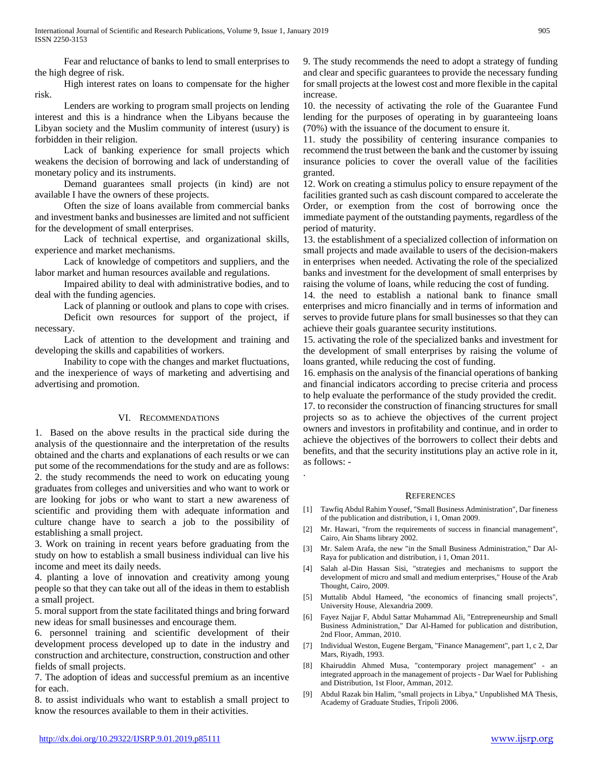Fear and reluctance of banks to lend to small enterprises to the high degree of risk.

 High interest rates on loans to compensate for the higher risk.

 Lenders are working to program small projects on lending interest and this is a hindrance when the Libyans because the Libyan society and the Muslim community of interest (usury) is forbidden in their religion.

 Lack of banking experience for small projects which weakens the decision of borrowing and lack of understanding of monetary policy and its instruments.

 Demand guarantees small projects (in kind) are not available I have the owners of these projects.

 Often the size of loans available from commercial banks and investment banks and businesses are limited and not sufficient for the development of small enterprises.

 Lack of technical expertise, and organizational skills, experience and market mechanisms.

 Lack of knowledge of competitors and suppliers, and the labor market and human resources available and regulations.

 Impaired ability to deal with administrative bodies, and to deal with the funding agencies.

Lack of planning or outlook and plans to cope with crises.

 Deficit own resources for support of the project, if necessary.

 Lack of attention to the development and training and developing the skills and capabilities of workers.

 Inability to cope with the changes and market fluctuations, and the inexperience of ways of marketing and advertising and advertising and promotion.

# VI. RECOMMENDATIONS

1. Based on the above results in the practical side during the analysis of the questionnaire and the interpretation of the results obtained and the charts and explanations of each results or we can put some of the recommendations for the study and are as follows: 2. the study recommends the need to work on educating young graduates from colleges and universities and who want to work or are looking for jobs or who want to start a new awareness of scientific and providing them with adequate information and culture change have to search a job to the possibility of establishing a small project.

3. Work on training in recent years before graduating from the study on how to establish a small business individual can live his income and meet its daily needs.

4. planting a love of innovation and creativity among young people so that they can take out all of the ideas in them to establish a small project.

5. moral support from the state facilitated things and bring forward new ideas for small businesses and encourage them.

6. personnel training and scientific development of their development process developed up to date in the industry and construction and architecture, construction, construction and other fields of small projects.

7. The adoption of ideas and successful premium as an incentive for each.

8. to assist individuals who want to establish a small project to know the resources available to them in their activities.

9. The study recommends the need to adopt a strategy of funding and clear and specific guarantees to provide the necessary funding for small projects at the lowest cost and more flexible in the capital increase.

10. the necessity of activating the role of the Guarantee Fund lending for the purposes of operating in by guaranteeing loans (70%) with the issuance of the document to ensure it.

11. study the possibility of centering insurance companies to recommend the trust between the bank and the customer by issuing insurance policies to cover the overall value of the facilities granted.

12. Work on creating a stimulus policy to ensure repayment of the facilities granted such as cash discount compared to accelerate the Order, or exemption from the cost of borrowing once the immediate payment of the outstanding payments, regardless of the period of maturity.

13. the establishment of a specialized collection of information on small projects and made available to users of the decision-makers in enterprises when needed. Activating the role of the specialized banks and investment for the development of small enterprises by raising the volume of loans, while reducing the cost of funding.

14. the need to establish a national bank to finance small enterprises and micro financially and in terms of information and serves to provide future plans for small businesses so that they can achieve their goals guarantee security institutions.

15. activating the role of the specialized banks and investment for the development of small enterprises by raising the volume of loans granted, while reducing the cost of funding.

16. emphasis on the analysis of the financial operations of banking and financial indicators according to precise criteria and process to help evaluate the performance of the study provided the credit. 17. to reconsider the construction of financing structures for small

projects so as to achieve the objectives of the current project owners and investors in profitability and continue, and in order to achieve the objectives of the borrowers to collect their debts and benefits, and that the security institutions play an active role in it, as follows: -

#### **REFERENCES**

.

- [1] Tawfiq Abdul Rahim Yousef, "Small Business Administration", Dar fineness of the publication and distribution, i 1, Oman 2009.
- [2] Mr. Hawari, "from the requirements of success in financial management", Cairo, Ain Shams library 2002.
- [3] Mr. Salem Arafa, the new "in the Small Business Administration," Dar Al-Raya for publication and distribution, i 1, Oman 2011.
- [4] Salah al-Din Hassan Sisi, "strategies and mechanisms to support the development of micro and small and medium enterprises," House of the Arab Thought, Cairo, 2009.
- [5] Muttalib Abdul Hameed, "the economics of financing small projects", University House, Alexandria 2009.
- [6] Fayez Najjar F, Abdul Sattar Muhammad Ali, "Entrepreneurship and Small Business Administration," Dar Al-Hamed for publication and distribution, 2nd Floor, Amman, 2010.
- [7] Individual Weston, Eugene Bergam, "Finance Management", part 1, c 2, Dar Mars, Riyadh, 1993.
- [8] Khairuddin Ahmed Musa, "contemporary project management" an integrated approach in the management of projects - Dar Wael for Publishing and Distribution, 1st Floor, Amman, 2012.
- [9] Abdul Razak bin Halim, "small projects in Libya," Unpublished MA Thesis, Academy of Graduate Studies, Tripoli 2006.